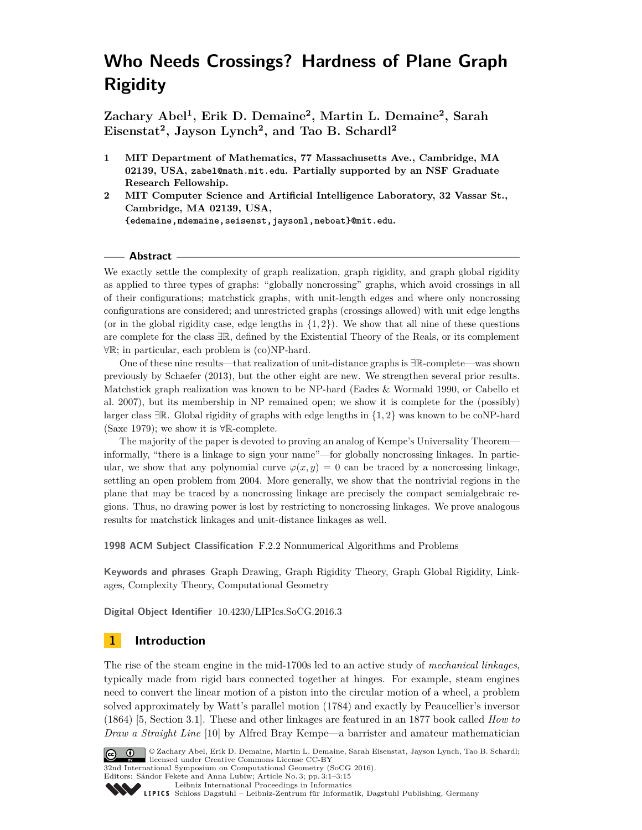# <span id="page-0-0"></span>**Who Needs Crossings? Hardness of Plane Graph Rigidity**

**Zachary Abel<sup>1</sup> , Erik D. Demaine<sup>2</sup> , Martin L. Demaine<sup>2</sup> , Sarah Eisenstat<sup>2</sup> , Jayson Lynch<sup>2</sup> , and Tao B. Schardl<sup>2</sup>**

- **1 MIT Department of Mathematics, 77 Massachusetts Ave., Cambridge, MA 02139, USA, <zabel@math.mit.edu>. Partially supported by an NSF Graduate Research Fellowship.**
- **2 MIT Computer Science and Artificial Intelligence Laboratory, 32 Vassar St., Cambridge, MA 02139, USA, [{edemaine,mdemaine,seisenst,jaysonl,neboat}@mit.edu]({edemaine, mdemaine, seisenst, jaysonl, neboat}@mit.edu).**

# **Abstract**

We exactly settle the complexity of graph realization, graph rigidity, and graph global rigidity as applied to three types of graphs: "globally noncrossing" graphs, which avoid crossings in all of their configurations; matchstick graphs, with unit-length edges and where only noncrossing configurations are considered; and unrestricted graphs (crossings allowed) with unit edge lengths (or in the global rigidity case, edge lengths in  $\{1, 2\}$ ). We show that all nine of these questions are complete for the class ∃R, defined by the Existential Theory of the Reals, or its complement ∀R; in particular, each problem is (co)NP-hard.

One of these nine results—that realization of unit-distance graphs is ∃R-complete—was shown previously by Schaefer (2013), but the other eight are new. We strengthen several prior results. Matchstick graph realization was known to be NP-hard (Eades & Wormald 1990, or Cabello et al. 2007), but its membership in NP remained open; we show it is complete for the (possibly) larger class ∃R. Global rigidity of graphs with edge lengths in {1*,* 2} was known to be coNP-hard (Saxe 1979); we show it is  $\forall \mathbb{R}$ -complete.

The majority of the paper is devoted to proving an analog of Kempe's Universality Theorem informally, "there is a linkage to sign your name"—for globally noncrossing linkages. In particular, we show that any polynomial curve  $\varphi(x, y) = 0$  can be traced by a noncrossing linkage, settling an open problem from 2004. More generally, we show that the nontrivial regions in the plane that may be traced by a noncrossing linkage are precisely the compact semialgebraic regions. Thus, no drawing power is lost by restricting to noncrossing linkages. We prove analogous results for matchstick linkages and unit-distance linkages as well.

**1998 ACM Subject Classification** F.2.2 Nonnumerical Algorithms and Problems

**Keywords and phrases** Graph Drawing, Graph Rigidity Theory, Graph Global Rigidity, Linkages, Complexity Theory, Computational Geometry

**Digital Object Identifier** [10.4230/LIPIcs.SoCG.2016.3](http://dx.doi.org/10.4230/LIPIcs.SoCG.2016.3)

# **1 Introduction**

The rise of the steam engine in the mid-1700s led to an active study of *mechanical linkages*, typically made from rigid bars connected together at hinges. For example, steam engines need to convert the linear motion of a piston into the circular motion of a wheel, a problem solved approximately by Watt's parallel motion (1784) and exactly by Peaucellier's inversor (1864) [\[5,](#page-14-0) Section 3.1]. These and other linkages are featured in an 1877 book called *How to Draw a Straight Line* [\[10\]](#page-14-1) by Alfred Bray Kempe—a barrister and amateur mathematician



© Zachary Abel, Erik D. Demaine, Martin L. Demaine, Sarah Eisenstat, Jayson Lynch, Tao B. Schardl; licensed under Creative Commons License CC-BY 32nd International Symposium on Computational Geometry (SoCG 2016).

Editors: Sándor Fekete and Anna Lubiw; Article No. 3; pp. 3:1–3[:15](#page-14-2)

[Leibniz International Proceedings in Informatics](http://www.dagstuhl.de/lipics/)

[Schloss Dagstuhl – Leibniz-Zentrum für Informatik, Dagstuhl Publishing, Germany](http://www.dagstuhl.de)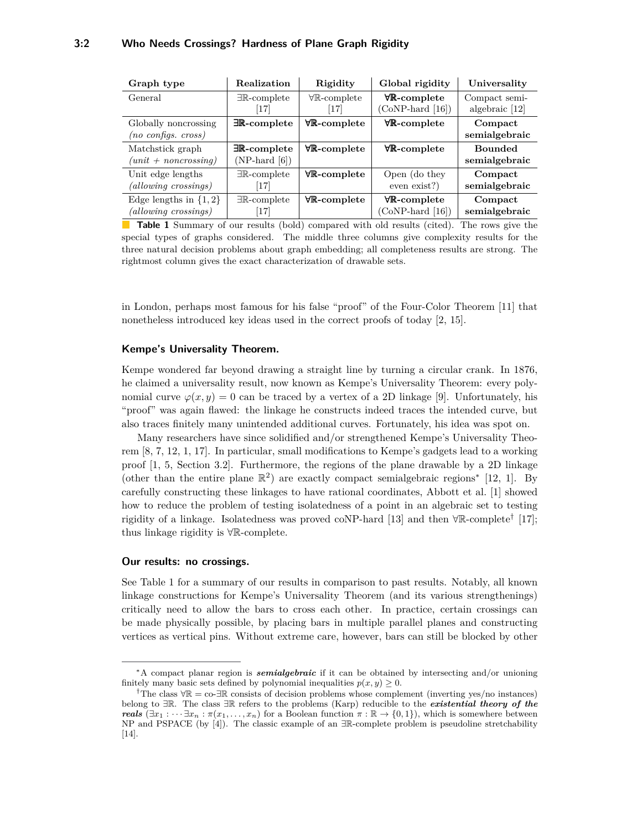<span id="page-1-0"></span>

| Graph type                    | Realization                    | Rigidity                       | Global rigidity                | Universality     |
|-------------------------------|--------------------------------|--------------------------------|--------------------------------|------------------|
| General                       | $\exists \mathbb{R}$ -complete | $\forall \mathbb{R}$ -complete | $\forall \mathbb{R}$ -complete | Compact semi-    |
|                               | 17                             | [17]                           | $(CoNP-hard [16])$             | algebraic $[12]$ |
| Globally noncrossing          | $\exists \mathbb{R}$ -complete | $\forall \mathbb{R}$ -complete | $\forall \mathbb{R}$ -complete | Compact          |
| $(no \text{ configs. cross})$ |                                |                                |                                | semialgebraic    |
| Matchstick graph              | $\exists \mathbb{R}$ -complete | $\forall \mathbb{R}$ -complete | $\forall \mathbb{R}$ -complete | <b>Bounded</b>   |
| $(unit + noncrossing)$        | $(NP$ -hard $[6])$             |                                |                                | semialgebraic    |
| Unit edge lengths             | $\exists \mathbb{R}$ -complete | $\forall \mathbb{R}$ -complete | Open (do they                  | Compact          |
| $(allowing\ crossings)$       | 17                             |                                | even exist?)                   | semialgebraic    |
| Edge lengths in $\{1,2\}$     | $\exists \mathbb{R}$ -complete | $\forall \mathbb{R}$ -complete | $\forall \mathbb{R}$ -complete | Compact          |
| (allowing crossings)          | $[17]$                         |                                | $(CoNP-hard [16])$             | semialgebraic    |

**Table 1** Summary of our results (bold) compared with old results (cited). The rows give the special types of graphs considered. The middle three columns give complexity results for the three natural decision problems about graph embedding; all completeness results are strong. The rightmost column gives the exact characterization of drawable sets.

in London, perhaps most famous for his false "proof" of the Four-Color Theorem [\[11\]](#page-14-7) that nonetheless introduced key ideas used in the correct proofs of today [\[2,](#page-14-8) [15\]](#page-14-9).

#### **Kempe's Universality Theorem.**

Kempe wondered far beyond drawing a straight line by turning a circular crank. In 1876, he claimed a universality result, now known as Kempe's Universality Theorem: every polynomial curve  $\varphi(x, y) = 0$  can be traced by a vertex of a 2D linkage [\[9\]](#page-14-10). Unfortunately, his "proof" was again flawed: the linkage he constructs indeed traces the intended curve, but also traces finitely many unintended additional curves. Fortunately, his idea was spot on.

Many researchers have since solidified and/or strengthened Kempe's Universality Theorem [\[8,](#page-14-11) [7,](#page-14-12) [12,](#page-14-5) [1,](#page-13-0) [17\]](#page-14-3). In particular, small modifications to Kempe's gadgets lead to a working proof [\[1,](#page-13-0) [5,](#page-14-0) Section 3.2]. Furthermore, the regions of the plane drawable by a 2D linkage (other than the entire plane  $\mathbb{R}^2$ ) are exactly compact semialgebraic regions<sup>\*</sup> [\[12,](#page-14-5) [1\]](#page-13-0). By carefully constructing these linkages to have rational coordinates, Abbott et al. [\[1\]](#page-13-0) showed how to reduce the problem of testing isolatedness of a point in an algebraic set to testing rigidity of a linkage. Isolatedness was proved coNP-hard [\[13\]](#page-14-13) and then  $\forall \mathbb{R}$ -complete<sup>[†](#page-0-0)</sup> [\[17\]](#page-14-3); thus linkage rigidity is ∀R-complete.

#### **Our results: no crossings.**

See Table [1](#page-1-0) for a summary of our results in comparison to past results. Notably, all known linkage constructions for Kempe's Universality Theorem (and its various strengthenings) critically need to allow the bars to cross each other. In practice, certain crossings can be made physically possible, by placing bars in multiple parallel planes and constructing vertices as vertical pins. Without extreme care, however, bars can still be blocked by other

<sup>∗</sup>A compact planar region is *semialgebraic* if it can be obtained by intersecting and/or unioning finitely many basic sets defined by polynomial inequalities  $p(x, y) \geq 0$ .

<sup>&</sup>lt;sup>†</sup>The class  $\forall \mathbb{R} = \text{co-}\mathbb{R}$  consists of decision problems whose complement (inverting yes/no instances) belong to ∃R. The class ∃R refers to the problems (Karp) reducible to the *existential theory of the reals*  $(\exists x_1 : \cdots \exists x_n : \pi(x_1, \ldots, x_n)$  for a Boolean function  $\pi : \mathbb{R} \to \{0, 1\}$ , which is somewhere between NP and PSPACE (by [\[4\]](#page-14-14)). The classic example of an ∃R-complete problem is pseudoline stretchability [\[14\]](#page-14-15).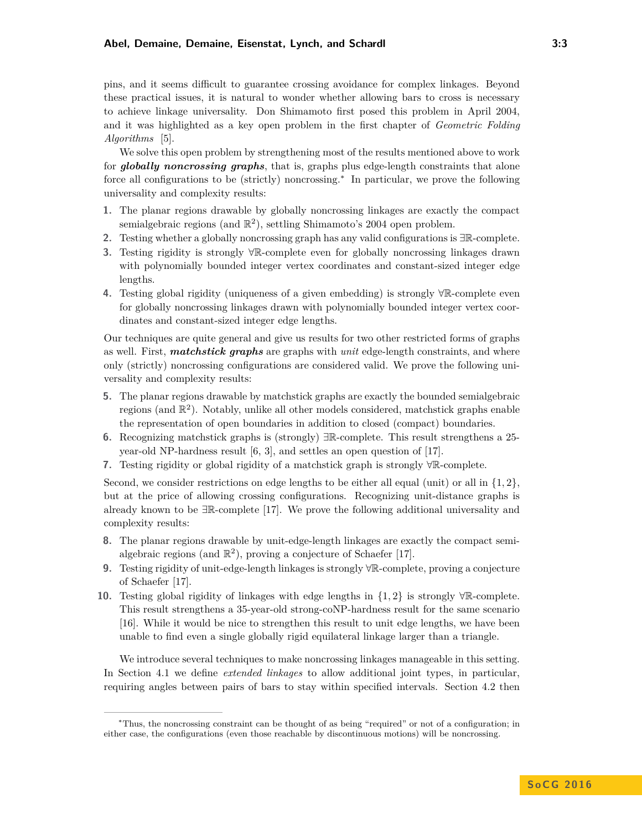#### **Abel, Demaine, Demaine, Eisenstat, Lynch, and Schardl 3:3**

pins, and it seems difficult to guarantee crossing avoidance for complex linkages. Beyond these practical issues, it is natural to wonder whether allowing bars to cross is necessary to achieve linkage universality. Don Shimamoto first posed this problem in April 2004, and it was highlighted as a key open problem in the first chapter of *Geometric Folding Algorithms* [\[5\]](#page-14-0).

We solve this open problem by strengthening most of the results mentioned above to work for *globally noncrossing graphs*, that is, graphs plus edge-length constraints that alone force all configurations to be (strictly) noncrossing.[∗](#page-0-0) In particular, we prove the following universality and complexity results:

- **1.** The planar regions drawable by globally noncrossing linkages are exactly the compact semialgebraic regions (and  $\mathbb{R}^2$ ), settling Shimamoto's 2004 open problem.
- **2.** Testing whether a globally noncrossing graph has any valid configurations is ∃R-complete.
- **3.** Testing rigidity is strongly ∀R-complete even for globally noncrossing linkages drawn with polynomially bounded integer vertex coordinates and constant-sized integer edge lengths.
- **4.** Testing global rigidity (uniqueness of a given embedding) is strongly ∀R-complete even for globally noncrossing linkages drawn with polynomially bounded integer vertex coordinates and constant-sized integer edge lengths.

Our techniques are quite general and give us results for two other restricted forms of graphs as well. First, *matchstick graphs* are graphs with *unit* edge-length constraints, and where only (strictly) noncrossing configurations are considered valid. We prove the following universality and complexity results:

- **5.** The planar regions drawable by matchstick graphs are exactly the bounded semialgebraic regions (and  $\mathbb{R}^2$ ). Notably, unlike all other models considered, matchstick graphs enable the representation of open boundaries in addition to closed (compact) boundaries.
- **6.** Recognizing matchstick graphs is (strongly) ∃R-complete. This result strengthens a 25 year-old NP-hardness result [\[6,](#page-14-6) [3\]](#page-14-16), and settles an open question of [\[17\]](#page-14-3).
- **7.** Testing rigidity or global rigidity of a matchstick graph is strongly ∀R-complete.

Second, we consider restrictions on edge lengths to be either all equal (unit) or all in  $\{1, 2\}$ , but at the price of allowing crossing configurations. Recognizing unit-distance graphs is already known to be ∃R-complete [\[17\]](#page-14-3). We prove the following additional universality and complexity results:

- **8.** The planar regions drawable by unit-edge-length linkages are exactly the compact semialgebraic regions (and  $\mathbb{R}^2$ ), proving a conjecture of Schaefer [\[17\]](#page-14-3).
- **9.** Testing rigidity of unit-edge-length linkages is strongly ∀R-complete, proving a conjecture of Schaefer [\[17\]](#page-14-3).
- **10.** Testing global rigidity of linkages with edge lengths in {1*,* 2} is strongly ∀R-complete. This result strengthens a 35-year-old strong-coNP-hardness result for the same scenario [\[16\]](#page-14-4). While it would be nice to strengthen this result to unit edge lengths, we have been unable to find even a single globally rigid equilateral linkage larger than a triangle.

We introduce several techniques to make noncrossing linkages manageable in this setting. In Section [4.1](#page-9-0) we define *extended linkages* to allow additional joint types, in particular, requiring angles between pairs of bars to stay within specified intervals. Section [4.2](#page-10-0) then

<sup>∗</sup>Thus, the noncrossing constraint can be thought of as being "required" or not of a configuration; in either case, the configurations (even those reachable by discontinuous motions) will be noncrossing.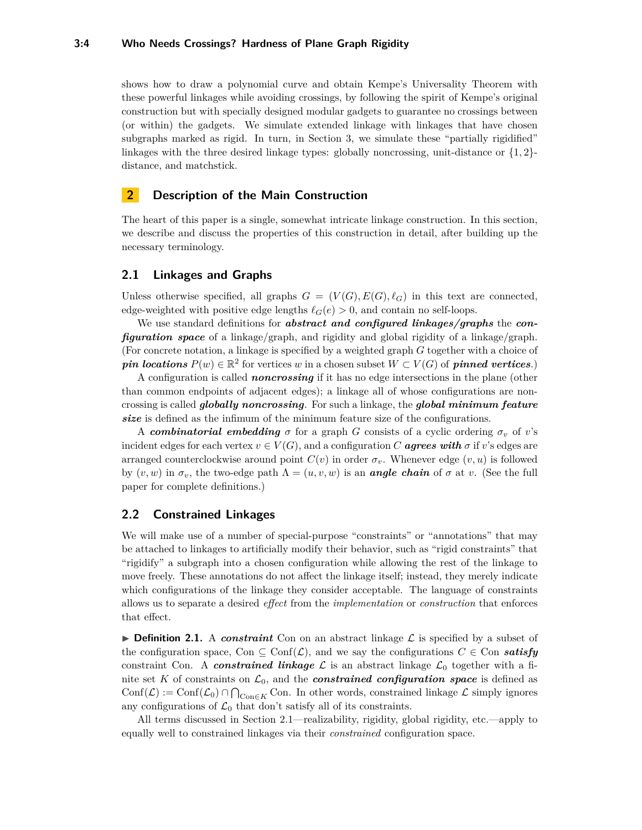#### **3:4 Who Needs Crossings? Hardness of Plane Graph Rigidity**

shows how to draw a polynomial curve and obtain Kempe's Universality Theorem with these powerful linkages while avoiding crossings, by following the spirit of Kempe's original construction but with specially designed modular gadgets to guarantee no crossings between (or within) the gadgets. We simulate extended linkage with linkages that have chosen subgraphs marked as rigid. In turn, in Section [3,](#page-6-0) we simulate these "partially rigidified" linkages with the three desired linkage types: globally noncrossing, unit-distance or {1*,* 2} distance, and matchstick.

# **2 Description of the Main Construction**

The heart of this paper is a single, somewhat intricate linkage construction. In this section, we describe and discuss the properties of this construction in detail, after building up the necessary terminology.

## <span id="page-3-0"></span>**2.1 Linkages and Graphs**

Unless otherwise specified, all graphs  $G = (V(G), E(G), \ell_G)$  in this text are connected, edge-weighted with positive edge lengths  $\ell_G(e) > 0$ , and contain no self-loops.

We use standard definitions for *abstract and configured linkages/graphs* the *configuration space* of a linkage/graph, and rigidity and global rigidity of a linkage/graph. (For concrete notation, a linkage is specified by a weighted graph *G* together with a choice of *pin locations*  $P(w) \in \mathbb{R}^2$  for vertices *w* in a chosen subset  $W \subset V(G)$  of *pinned vertices*.)

A configuration is called *noncrossing* if it has no edge intersections in the plane (other than common endpoints of adjacent edges); a linkage all of whose configurations are noncrossing is called *globally noncrossing*. For such a linkage, the *global minimum feature size* is defined as the infimum of the minimum feature size of the configurations.

A *combinatorial embedding*  $\sigma$  for a graph *G* consists of a cyclic ordering  $\sigma_v$  of *v*'s incident edges for each vertex  $v \in V(G)$ , and a configuration *C* **agrees with**  $\sigma$  if  $v$ 's edges are arranged counterclockwise around point  $C(v)$  in order  $\sigma_v$ . Whenever edge  $(v, u)$  is followed by  $(v, w)$  in  $\sigma_v$ , the two-edge path  $\Lambda = (u, v, w)$  is an *angle chain* of  $\sigma$  at v. (See the full paper for complete definitions.)

## **2.2 Constrained Linkages**

We will make use of a number of special-purpose "constraints" or "annotations" that may be attached to linkages to artificially modify their behavior, such as "rigid constraints" that "rigidify" a subgraph into a chosen configuration while allowing the rest of the linkage to move freely. These annotations do not affect the linkage itself; instead, they merely indicate which configurations of the linkage they consider acceptable. The language of constraints allows us to separate a desired *effect* from the *implementation* or *construction* that enforces that effect.

**Definition 2.1.** A *constraint* Con on an abstract linkage  $\mathcal{L}$  is specified by a subset of the configuration space, Con  $\subseteq$  Conf $(\mathcal{L})$ , and we say the configurations  $C \in \mathbb{C}$  con **satisfy** constraint Con. A *constrained linkage*  $\mathcal{L}$  is an abstract linkage  $\mathcal{L}_0$  together with a finite set K of constraints on  $\mathcal{L}_0$ , and the **constrained configuration space** is defined as  $Conf(\mathcal{L}) := Conf(\mathcal{L}_0) \cap \bigcap_{\text{Con} \in K} \text{Con}.$  In other words, constrained linkage  $\mathcal{L}$  simply ignores any configurations of  $\mathcal{L}_0$  that don't satisfy all of its constraints.

All terms discussed in Section [2.1—](#page-3-0)realizability, rigidity, global rigidity, etc.—apply to equally well to constrained linkages via their *constrained* configuration space.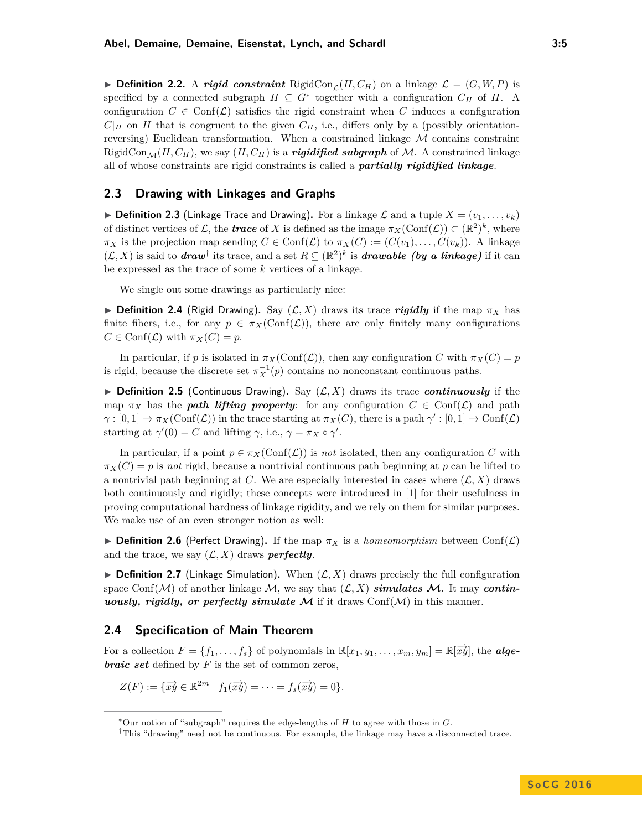**Definition 2.2.** A *rigid constraint* RigidCon<sub>C</sub> $(H, C_H)$  on a linkage  $\mathcal{L} = (G, W, P)$  is specified by a connected subgraph  $H \subseteq G^*$  together with a configuration  $C_H$  of  $H$ . A configuration  $C \in \text{Conf}(\mathcal{L})$  satisfies the rigid constraint when C induces a configuration  $C|_H$  on *H* that is congruent to the given  $C_H$ , i.e., differs only by a (possibly orientationreversing) Euclidean transformation. When a constrained linkage  $M$  contains constraint RigidCon<sub>M</sub>(*H*, *C<sub>H</sub>*), we say (*H*, *C<sub>H</sub>*) is a *rigidified subgraph* of *M*. A constrained linkage all of whose constraints are rigid constraints is called a *partially rigidified linkage*.

# **2.3 Drawing with Linkages and Graphs**

 $\triangleright$  **Definition 2.3** (Linkage Trace and Drawing). For a linkage  $\mathcal{L}$  and a tuple  $X = (v_1, \ldots, v_k)$ of distinct vertices of L, the **trace** of X is defined as the image  $\pi_X(\text{Conf}(\mathcal{L})) \subset (\mathbb{R}^2)^k$ , where  $\pi_X$  is the projection map sending  $C \in \text{Conf}(\mathcal{L})$  to  $\pi_X(C) := (C(v_1), \ldots, C(v_k))$ . A linkage  $(L, X)$  is said to *draw*<sup>[†](#page-0-0)</sup> its trace, and a set  $R \subseteq (\mathbb{R}^2)^k$  is *drawable (by a linkage)* if it can be expressed as the trace of some *k* vertices of a linkage.

We single out some drawings as particularly nice:

**Definition 2.4** (Rigid Drawing). Say  $(L, X)$  draws its trace *rigidly* if the map  $\pi_X$  has finite fibers, i.e., for any  $p \in \pi_X(\mathrm{Conf}(\mathcal{L}))$ , there are only finitely many configurations  $C \in \text{Conf}(\mathcal{L})$  with  $\pi_X(C) = p$ .

In particular, if *p* is isolated in  $\pi_X(\text{Conf}(\mathcal{L}))$ , then any configuration *C* with  $\pi_X(C) = p$ is rigid, because the discrete set  $\pi_X^{-1}(p)$  contains no nonconstant continuous paths.

**Definition 2.5** (Continuous Drawing). Say  $(L, X)$  draws its trace *continuously* if the map  $\pi_X$  has the *path lifting property*: for any configuration  $C \in \text{Conf}(\mathcal{L})$  and path  $\gamma : [0,1] \to \pi_X(\text{Conf}(\mathcal{L}))$  in the trace starting at  $\pi_X(C)$ , there is a path  $\gamma' : [0,1] \to \text{Conf}(\mathcal{L})$ starting at  $\gamma'(0) = C$  and lifting  $\gamma$ , i.e.,  $\gamma = \pi_X \circ \gamma'$ .

In particular, if a point  $p \in \pi_X(\mathrm{Conf}(\mathcal{L}))$  is *not* isolated, then any configuration C with  $\pi_X(C) = p$  is *not* rigid, because a nontrivial continuous path beginning at *p* can be lifted to a nontrivial path beginning at *C*. We are especially interested in cases where  $(\mathcal{L}, X)$  draws both continuously and rigidly; these concepts were introduced in [\[1\]](#page-13-0) for their usefulness in proving computational hardness of linkage rigidity, and we rely on them for similar purposes. We make use of an even stronger notion as well:

**Definition 2.6** (Perfect Drawing). If the map  $\pi_X$  is a *homeomorphism* between Conf( $\mathcal{L}$ ) and the trace, we say  $(L, X)$  draws *perfectly*.

**Definition 2.7** (Linkage Simulation). When  $(\mathcal{L}, X)$  draws precisely the full configuration space Conf( $M$ ) of another linkage M, we say that  $(L, X)$  *simulates* M. It may *continuously, rigidly, or perfectly simulate*  $\mathcal{M}$  if it draws Conf( $\mathcal{M}$ ) in this manner.

## **2.4 Specification of Main Theorem**

For a collection  $F = \{f_1, \ldots, f_s\}$  of polynomials in  $\mathbb{R}[x_1, y_1, \ldots, x_m, y_m] = \mathbb{R}[\overrightarrow{xy}]$ , the **alge***braic set* defined by *F* is the set of common zeros,

$$
Z(F) := \{ \overrightarrow{xy} \in \mathbb{R}^{2m} \mid f_1(\overrightarrow{xy}) = \cdots = f_s(\overrightarrow{xy}) = 0 \}.
$$

<sup>∗</sup>Our notion of "subgraph" requires the edge-lengths of *H* to agree with those in *G*.

<sup>†</sup>This "drawing" need not be continuous. For example, the linkage may have a disconnected trace.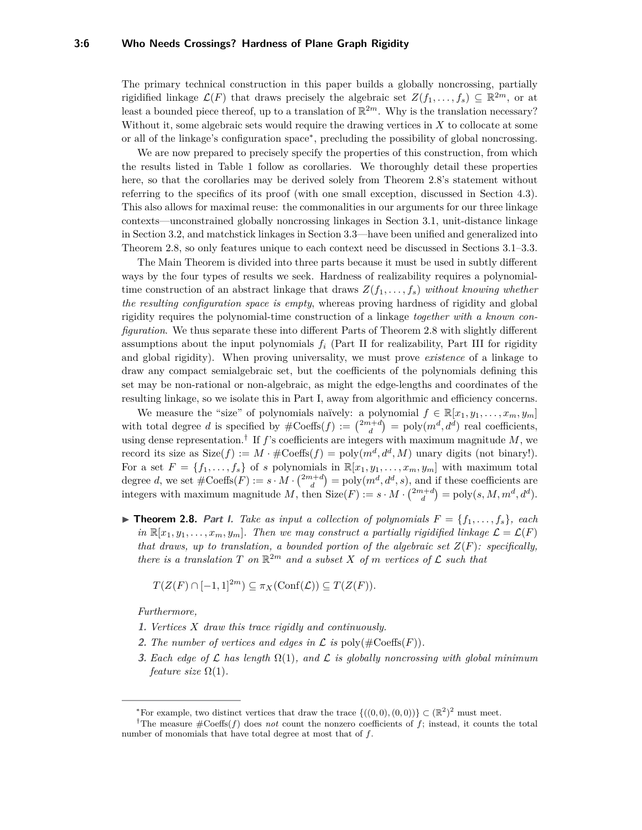#### **3:6 Who Needs Crossings? Hardness of Plane Graph Rigidity**

The primary technical construction in this paper builds a globally noncrossing, partially rigidified linkage  $\mathcal{L}(F)$  that draws precisely the algebraic set  $Z(f_1, \ldots, f_s) \subseteq \mathbb{R}^{2m}$ , or at least a bounded piece thereof, up to a translation of  $\mathbb{R}^{2m}$ . Why is the translation necessary? Without it, some algebraic sets would require the drawing vertices in *X* to collocate at some or all of the linkage's configuration space[∗](#page-0-0) , precluding the possibility of global noncrossing.

We are now prepared to precisely specify the properties of this construction, from which the results listed in Table [1](#page-1-0) follow as corollaries. We thoroughly detail these properties here, so that the corollaries may be derived solely from Theorem [2.8'](#page-0-0)s statement without referring to the specifics of its proof (with one small exception, discussed in Section [4.3\)](#page-12-0). This also allows for maximal reuse: the commonalities in our arguments for our three linkage contexts—unconstrained globally noncrossing linkages in Section [3.1,](#page-6-1) unit-distance linkage in Section [3.2,](#page-8-0) and matchstick linkages in Section [3.3—](#page-8-1)have been unified and generalized into Theorem [2.8,](#page-0-0) so only features unique to each context need be discussed in Sections [3.1](#page-6-1)[–3.3.](#page-8-1)

The Main Theorem is divided into three parts because it must be used in subtly different ways by the four types of results we seek. Hardness of realizability requires a polynomialtime construction of an abstract linkage that draws  $Z(f_1, \ldots, f_s)$  *without knowing whether the resulting configuration space is empty*, whereas proving hardness of rigidity and global rigidity requires the polynomial-time construction of a linkage *together with a known configuration*. We thus separate these into different Parts of Theorem [2.8](#page-0-0) with slightly different assumptions about the input polynomials  $f_i$  (Part II for realizability, Part III for rigidity and global rigidity). When proving universality, we must prove *existence* of a linkage to draw any compact semialgebraic set, but the coefficients of the polynomials defining this set may be non-rational or non-algebraic, as might the edge-lengths and coordinates of the resulting linkage, so we isolate this in Part I, away from algorithmic and efficiency concerns.

We measure the "size" of polynomials naïvely: a polynomial  $f \in \mathbb{R}[x_1, y_1, \ldots, x_m, y_m]$ with total degree *d* is specified by  $\#\text{Coeffs}(f) := \binom{2m+d}{d} = \text{poly}(m^d, d^d)$  real coefficients, using dense representation.[†](#page-0-0) If *f*'s coefficients are integers with maximum magnitude *M*, we record its size as  $Size(f) := M \cdot #Coeffs(f) = poly(m^d, d^d, M)$  unary digits (not binary!). For a set  $F = \{f_1, \ldots, f_s\}$  of *s* polynomials in  $\mathbb{R}[x_1, y_1, \ldots, x_m, y_m]$  with maximum total degree *d*, we set  $\#\mathrm{Coeffs}(F) := s \cdot M \cdot {2m+d \choose d} = \text{poly}(m^d, d^d, s)$ , and if these coefficients are integers with maximum magnitude *M*, then  $Size(F) := s \cdot M \cdot {2m+d \choose d} = poly(s, M, m^d, d^d)$ .

**Find Theorem 2.8.** Part I. Take as input a collection of polynomials  $F = \{f_1, \ldots, f_s\}$ , each *in*  $\mathbb{R}[x_1, y_1, \ldots, x_m, y_m]$ . Then we may construct a partially rigidified linkage  $\mathcal{L} = \mathcal{L}(F)$ *that draws, up to translation, a bounded portion of the algebraic set*  $Z(F)$ *: specifically, there is a translation*  $T$  *on*  $\mathbb{R}^{2m}$  *and a subset*  $X$  *of*  $m$  *vertices of*  $\mathcal{L}$  *such that* 

$$
T(Z(F) \cap [-1,1]^{2m}) \subseteq \pi_X(\text{Conf}(\mathcal{L})) \subseteq T(Z(F)).
$$

*Furthermore,*

- **1.** *Vertices X draw this trace rigidly and continuously.*
- **2.** The number of vertices and edges in  $\mathcal L$  is  $\text{poly}(\#\text{Coeffs}(F)).$
- <span id="page-5-0"></span>**3.** *Each edge of* L *has length* Ω(1)*, and* L *is globally noncrossing with global minimum feature size*  $\Omega(1)$ *.*

<sup>\*</sup>For example, two distinct vertices that draw the trace  $\{((0,0),(0,0))\} \subset (\mathbb{R}^2)^2$  must meet.

<sup>†</sup>The measure #Coeffs(*f*) does *not* count the nonzero coefficients of *f*; instead, it counts the total number of monomials that have total degree at most that of *f*.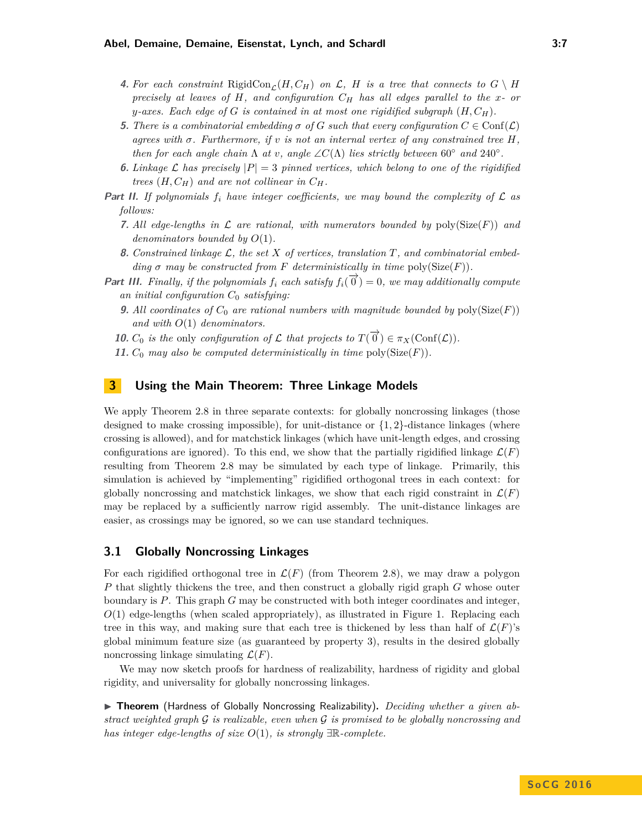#### **Abel, Demaine, Demaine, Eisenstat, Lynch, and Schardl 3:7**

- **4.** For each constraint RigidCon<sub>c</sub>( $H, C_H$ ) on  $\mathcal{L}$ ,  $H$  is a tree that connects to  $G \setminus H$ *precisely at leaves of H, and configuration C<sup>H</sup> has all edges parallel to the x- or y*-axes. Each edge of *G* is contained in at most one rigidified subgraph  $(H, C_H)$ .
- **5.** There is a combinatorial embedding  $\sigma$  of  $G$  such that every configuration  $C \in \text{Conf}(\mathcal{L})$ *agrees with*  $\sigma$ *. Furthermore, if*  $v$  *is not an internal vertex of any constrained tree H*, *then for each angle chain*  $\Lambda$  *at*  $v$ *, angle*  $\angle C(\Lambda)$  *lies strictly between* 60° *and* 240°.
- **6.** *Linkage*  $\mathcal L$  *has precisely*  $|P| = 3$  *pinned vertices, which belong to one of the rigidified trees*  $(H, C_H)$  *and are not collinear in*  $C_H$ *.*
- **Part II.** If polynomials  $f_i$  have integer coefficients, we may bound the complexity of  $\mathcal{L}$  as *follows:*
	- **7.** All edge-lengths in  $\mathcal L$  are rational, with numerators bounded by  $poly(Size(F))$  and *denominators bounded by O*(1)*.*
	- **8.** *Constrained linkage* L*, the set X of vertices, translation T, and combinatorial embedding*  $\sigma$  *may be constructed from*  $F$  *deterministically in time* poly(Size( $F$ )).
- **Part III.** Finally, if the polynomials  $f_i$  each satisfy  $f_i(\vec{\theta}) = 0$ , we may additionally compute *an initial configuration C*<sup>0</sup> *satisfying:*
	- **9.** All coordinates of  $C_0$  are rational numbers with magnitude bounded by  $poly(Size(F))$ *and with O*(1) *denominators.*
	- **10.**  $C_0$  is the only configuration of  $\mathcal L$  that projects to  $T(\vec{\theta}) \in \pi_X(\text{Conf}(\mathcal L))$ .
	- **11.**  $C_0$  *may also be computed deterministically in time poly(Size(F)).*

# <span id="page-6-2"></span><span id="page-6-0"></span>**3 Using the Main Theorem: Three Linkage Models**

We apply Theorem [2.8](#page-0-0) in three separate contexts: for globally noncrossing linkages (those designed to make crossing impossible), for unit-distance or  $\{1, 2\}$ -distance linkages (where crossing is allowed), and for matchstick linkages (which have unit-length edges, and crossing configurations are ignored). To this end, we show that the partially rigidified linkage  $\mathcal{L}(F)$ resulting from Theorem [2.8](#page-0-0) may be simulated by each type of linkage. Primarily, this simulation is achieved by "implementing" rigidified orthogonal trees in each context: for globally noncrossing and matchstick linkages, we show that each rigid constraint in  $\mathcal{L}(F)$ may be replaced by a sufficiently narrow rigid assembly. The unit-distance linkages are easier, as crossings may be ignored, so we can use standard techniques.

# <span id="page-6-1"></span>**3.1 Globally Noncrossing Linkages**

For each rigidified orthogonal tree in  $\mathcal{L}(F)$  (from Theorem [2.8\)](#page-0-0), we may draw a polygon *P* that slightly thickens the tree, and then construct a globally rigid graph *G* whose outer boundary is *P*. This graph *G* may be constructed with both integer coordinates and integer,  $O(1)$  edge-lengths (when scaled appropriately), as illustrated in Figure [1.](#page-7-0) Replacing each tree in this way, and making sure that each tree is thickened by less than half of  $\mathcal{L}(F)$ 's global minimum feature size (as guaranteed by property [3\)](#page-5-0), results in the desired globally noncrossing linkage simulating  $\mathcal{L}(F)$ .

We may now sketch proofs for hardness of realizability, hardness of rigidity and global rigidity, and universality for globally noncrossing linkages.

▶ Theorem (Hardness of Globally Noncrossing Realizability). *Deciding whether a given abstract weighted graph* G *is realizable, even when* G *is promised to be globally noncrossing and has integer edge-lengths of size O*(1)*, is strongly* ∃R*-complete.*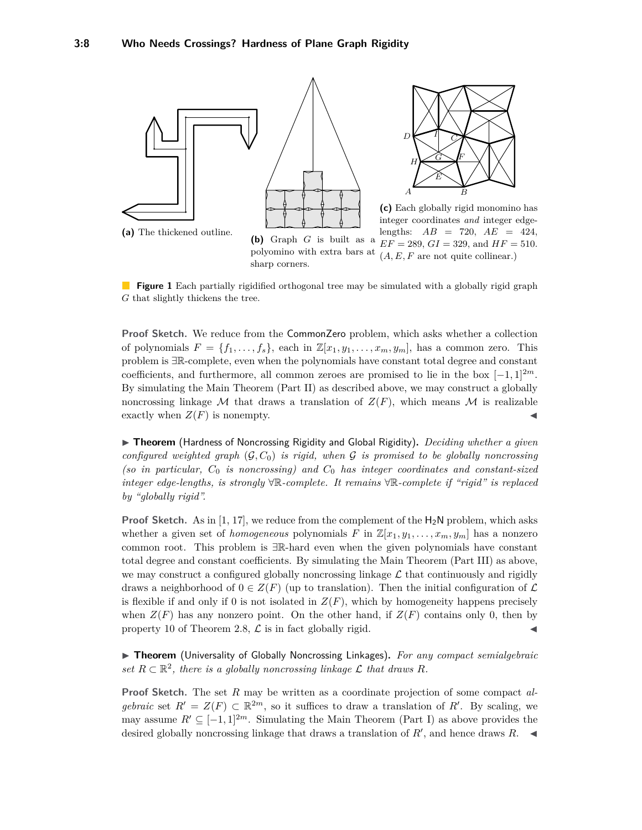<span id="page-7-0"></span>

**Figure 1** Each partially rigidified orthogonal tree may be simulated with a globally rigid graph *G* that slightly thickens the tree.

**Proof Sketch.** We reduce from the CommonZero problem, which asks whether a collection of polynomials  $F = \{f_1, \ldots, f_s\}$ , each in  $\mathbb{Z}[x_1, y_1, \ldots, x_m, y_m]$ , has a common zero. This problem is ∃R-complete, even when the polynomials have constant total degree and constant coefficients, and furthermore, all common zeroes are promised to lie in the box [−1*,* 1]<sup>2</sup>*<sup>m</sup>*. By simulating the Main Theorem (Part II) as described above, we may construct a globally noncrossing linkage M that draws a translation of  $Z(F)$ , which means M is realizable exactly when  $Z(F)$  is nonempty.

▶ **Theorem** (Hardness of Noncrossing Rigidity and Global Rigidity). *Deciding whether a given configured weighted graph* (G*, C*0) *is rigid, when* G *is promised to be globally noncrossing (so in particular,*  $C_0$  *is noncrossing) and*  $C_0$  *has integer coordinates and constant-sized integer edge-lengths, is strongly* ∀R*-complete. It remains* ∀R*-complete if "rigid" is replaced by "globally rigid".*

**Proof Sketch.** As in [\[1,](#page-13-0) [17\]](#page-14-3), we reduce from the complement of the  $H_2N$  problem, which asks whether a given set of *homogeneous* polynomials *F* in  $\mathbb{Z}[x_1, y_1, \ldots, x_m, y_m]$  has a nonzero common root. This problem is ∃R-hard even when the given polynomials have constant total degree and constant coefficients. By simulating the Main Theorem (Part III) as above, we may construct a configured globally noncrossing linkage  $\mathcal L$  that continuously and rigidly draws a neighborhood of  $0 \in Z(F)$  (up to translation). Then the initial configuration of  $\mathcal L$ is flexible if and only if 0 is not isolated in  $Z(F)$ , which by homogeneity happens precisely when  $Z(F)$  has any nonzero point. On the other hand, if  $Z(F)$  contains only 0, then by property [10](#page-6-2) of Theorem [2.8,](#page-0-0)  $\mathcal L$  is in fact globally rigid.

**Indemanager 1** Theorem (Universality of Globally Noncrossing Linkages). For any compact semialgebraic set  $R \subset \mathbb{R}^2$ , there is a globally noncrossing linkage  $\mathcal L$  that draws  $R$ *.* 

**Proof Sketch.** The set *R* may be written as a coordinate projection of some compact *algebraic* set  $R' = Z(F) \subset \mathbb{R}^{2m}$ , so it suffices to draw a translation of R'. By scaling, we may assume  $R' \subseteq [-1, 1]^{2m}$ . Simulating the Main Theorem (Part I) as above provides the desired globally noncrossing linkage that draws a translation of  $R'$ , and hence draws  $R$ .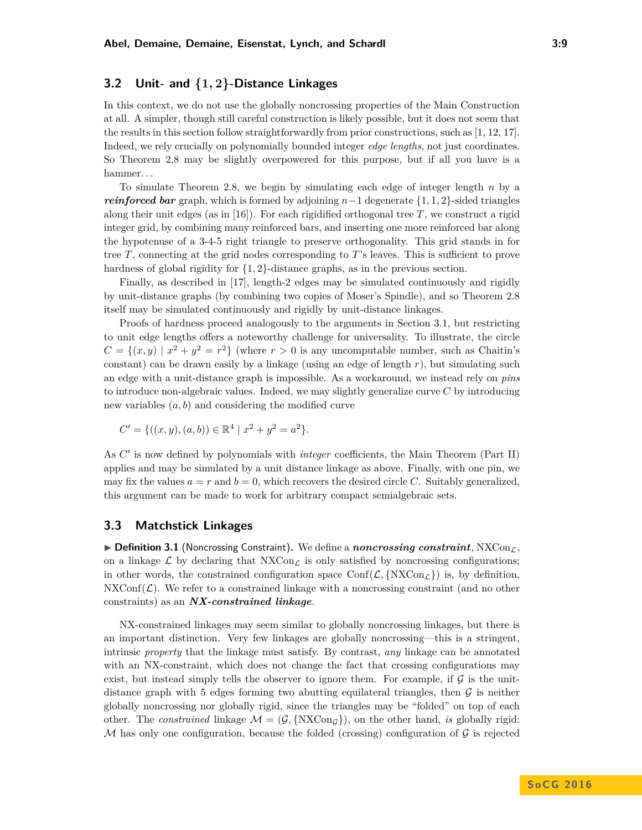# <span id="page-8-0"></span>**3.2 Unit- and {1***,* **2}-Distance Linkages**

In this context, we do not use the globally noncrossing properties of the Main Construction at all. A simpler, though still careful construction is likely possible, but it does not seem that the results in this section follow straightforwardly from prior constructions, such as [\[1,](#page-13-0) [12,](#page-14-5) [17\]](#page-14-3). Indeed, we rely crucially on polynomially bounded integer *edge lengths*, not just coordinates. So Theorem [2.8](#page-0-0) may be slightly overpowered for this purpose, but if all you have is a hammer. . .

To simulate Theorem [2.8,](#page-0-0) we begin by simulating each edge of integer length *n* by a *reinforced bar* graph, which is formed by adjoining *n*−1 degenerate {1*,* 1*,* 2}-sided triangles along their unit edges (as in  $[16]$ ). For each rigidified orthogonal tree *T*, we construct a rigid integer grid, by combining many reinforced bars, and inserting one more reinforced bar along the hypotenuse of a 3-4-5 right triangle to preserve orthogonality. This grid stands in for tree *T*, connecting at the grid nodes corresponding to *T*'s leaves. This is sufficient to prove hardness of global rigidity for  $\{1, 2\}$ -distance graphs, as in the previous section.

Finally, as described in [\[17\]](#page-14-3), length-2 edges may be simulated continuously and rigidly by unit-distance graphs (by combining two copies of Moser's Spindle), and so Theorem [2.8](#page-0-0) itself may be simulated continuously and rigidly by unit-distance linkages.

Proofs of hardness proceed analogously to the arguments in Section [3.1,](#page-6-1) but restricting to unit edge lengths offers a noteworthy challenge for universality. To illustrate, the circle  $C = \{(x, y) | x^2 + y^2 = r^2 \}$  (where  $r > 0$  is any uncomputable number, such as Chaitin's constant) can be drawn easily by a linkage (using an edge of length *r*), but simulating such an edge with a unit-distance graph is impossible. As a workaround, we instead rely on *pins* to introduce non-algebraic values. Indeed, we may slightly generalize curve *C* by introducing new variables (*a, b*) and considering the modified curve

$$
C' = \{ ((x, y), (a, b)) \in \mathbb{R}^4 \mid x^2 + y^2 = a^2 \}.
$$

As C' is now defined by polynomials with *integer* coefficients, the Main Theorem (Part II) applies and may be simulated by a unit distance linkage as above. Finally, with one pin, we may fix the values  $a = r$  and  $b = 0$ , which recovers the desired circle C. Suitably generalized, this argument can be made to work for arbitrary compact semialgebraic sets.

## <span id="page-8-1"></span>**3.3 Matchstick Linkages**

 $\triangleright$  **Definition 3.1** (Noncrossing Constraint). We define a *noncrossing constraint*,  $NXCon_{\mathcal{L}}$ , on a linkage  $\mathcal L$  by declaring that  $NXCon_{\mathcal L}$  is only satisfied by noncrossing configurations; in other words, the constrained configuration space  $Conf(\mathcal{L}, \{NXCon_{\mathcal{L}}\})$  is, by definition, NXConf( $\mathcal{L}$ ). We refer to a constrained linkage with a noncrossing constraint (and no other constraints) as an *NX-constrained linkage*.

NX-constrained linkages may seem similar to globally noncrossing linkages, but there is an important distinction. Very few linkages are globally noncrossing—this is a stringent, intrinsic *property* that the linkage must satisfy. By contrast, *any* linkage can be annotated with an NX-constraint, which does not change the fact that crossing configurations may exist, but instead simply tells the observer to ignore them. For example, if  $\mathcal G$  is the unitdistance graph with 5 edges forming two abutting equilateral triangles, then  $\mathcal G$  is neither globally noncrossing nor globally rigid, since the triangles may be "folded" on top of each other. The *constrained* linkage  $M = (\mathcal{G}, \{NXCon_{G}\})$ , on the other hand, *is* globally rigid: M has only one configuration, because the folded (crossing) configuration of  $\mathcal G$  is rejected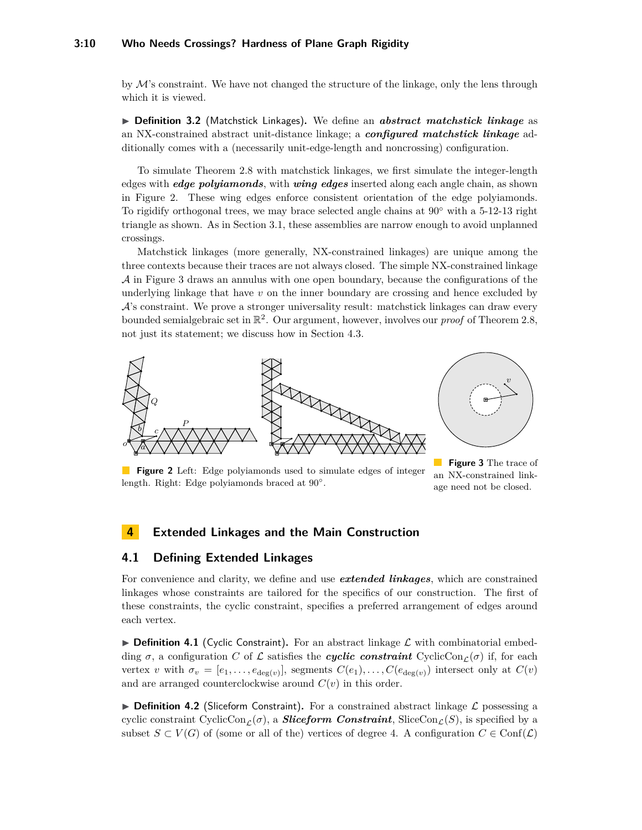## **3:10 Who Needs Crossings? Hardness of Plane Graph Rigidity**

by  $M$ 's constraint. We have not changed the structure of the linkage, only the lens through which it is viewed.

**IDefinition 3.2** (Matchstick Linkages). We define an *abstract matchstick linkage* as an NX-constrained abstract unit-distance linkage; a *configured matchstick linkage* additionally comes with a (necessarily unit-edge-length and noncrossing) configuration.

To simulate Theorem [2.8](#page-0-0) with matchstick linkages, we first simulate the integer-length edges with *edge polyiamonds*, with *wing edges* inserted along each angle chain, as shown in Figure [2.](#page-9-1) These wing edges enforce consistent orientation of the edge polyiamonds. To rigidify orthogonal trees, we may brace selected angle chains at  $90°$  with a 5-12-13 right triangle as shown. As in Section [3.1,](#page-6-1) these assemblies are narrow enough to avoid unplanned crossings.

Matchstick linkages (more generally, NX-constrained linkages) are unique among the three contexts because their traces are not always closed. The simple NX-constrained linkage  $\mathcal A$  in Figure [3](#page-9-1) draws an annulus with one open boundary, because the configurations of the underlying linkage that have *v* on the inner boundary are crossing and hence excluded by  $\mathcal{A}$ 's constraint. We prove a stronger universality result: matchstick linkages can draw every bounded semialgebraic set in  $\mathbb{R}^2$ . Our argument, however, involves our *proof* of Theorem [2.8,](#page-0-0) not just its statement; we discuss how in Section [4.3.](#page-12-0)

<span id="page-9-1"></span>

**Figure 2** Left: Edge polyiamonds used to simulate edges of integer length. Right: Edge polyiamonds braced at 90°.

**Figure 3** The trace of an NX-constrained linkage need not be closed.

# **4 Extended Linkages and the Main Construction**

# <span id="page-9-0"></span>**4.1 Defining Extended Linkages**

For convenience and clarity, we define and use *extended linkages*, which are constrained linkages whose constraints are tailored for the specifics of our construction. The first of these constraints, the cyclic constraint, specifies a preferred arrangement of edges around each vertex.

**Definition 4.1** (Cyclic Constraint). For an abstract linkage  $\mathcal{L}$  with combinatorial embedding  $\sigma$ , a configuration *C* of L satisfies the *cyclic constraint* CyclicCon<sub>L</sub>( $\sigma$ ) if, for each vertex *v* with  $\sigma_v = [e_1, \ldots, e_{\deg(v)}]$ , segments  $C(e_1), \ldots, C(e_{\deg(v)})$  intersect only at  $C(v)$ and are arranged counterclockwise around  $C(v)$  in this order.

**Definition 4.2** (Sliceform Constraint). For a constrained abstract linkage  $\mathcal{L}$  possessing a cyclic constraint CyclicCon<sub>c</sub>( $\sigma$ ), a *Sliceform Constraint*, SliceCon<sub>c</sub>( $S$ ), is specified by a subset  $S \subset V(G)$  of (some or all of the) vertices of degree 4. A configuration  $C \in \text{Conf}(\mathcal{L})$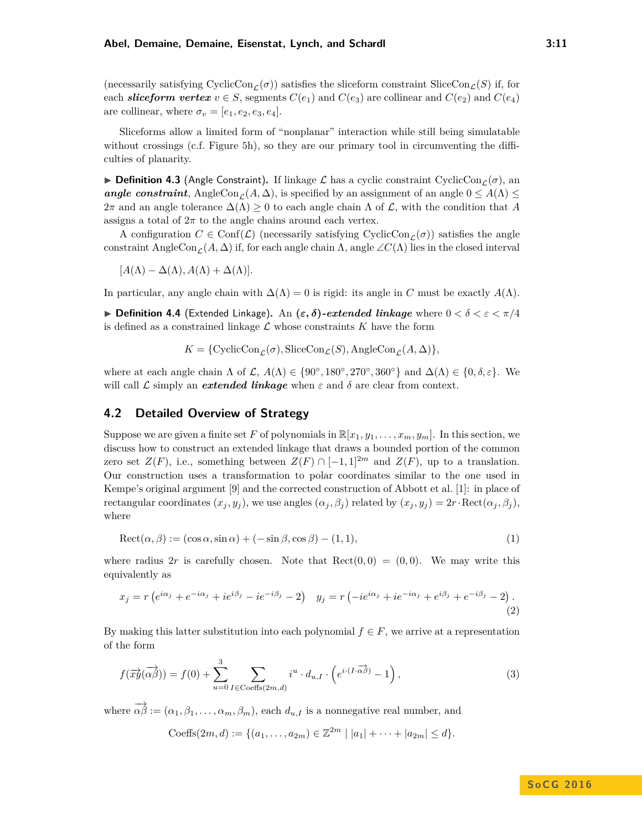(necessarily satisfying CyclicCon<sub> $\mathcal{L}(\sigma)$ ) satisfies the sliceform constraint SliceCon<sub> $\mathcal{L}(S)$ </sub> if, for</sub> each *sliceform vertex*  $v \in S$ , segments  $C(e_1)$  and  $C(e_3)$  are collinear and  $C(e_2)$  and  $C(e_4)$ are collinear, where  $\sigma_v = [e_1, e_2, e_3, e_4]$ .

Sliceforms allow a limited form of "nonplanar" interaction while still being simulatable without crossings (c.f. Figure [5h\)](#page-12-1), so they are our primary tool in circumventing the difficulties of planarity.

**Definition 4.3** (Angle Constraint). If linkage  $\mathcal{L}$  has a cyclic constraint CyclicCon<sub>c</sub>( $\sigma$ ), an *angle constraint*, AngleCon<sub>C</sub>( $A, \Delta$ ), is specified by an assignment of an angle  $0 \leq A(\Lambda) \leq$ 2π and an angle tolerance  $\Delta(Λ) \geq 0$  to each angle chain Λ of  $\mathcal L$ , with the condition that A assigns a total of  $2\pi$  to the angle chains around each vertex.

A configuration  $C \in \text{Conf}(\mathcal{L})$  (necessarily satisfying CyclicCon<sub> $\mathcal{L}(\sigma)$ ) satisfies the angle</sub> constraint AngleCon<sub>C</sub>(*A*,  $\Delta$ ) if, for each angle chain  $\Lambda$ , angle ∠*C*( $\Lambda$ ) lies in the closed interval

 $[A(\Lambda) - \Delta(\Lambda), A(\Lambda) + \Delta(\Lambda)].$ 

In particular, any angle chain with  $\Delta(\Lambda) = 0$  is rigid: its angle in *C* must be exactly  $A(\Lambda)$ .

**Definition 4.4** (Extended Linkage). An  $(\varepsilon, \delta)$ -extended linkage where  $0 < \delta < \varepsilon < \pi/4$ is defined as a constrained linkage  $\mathcal L$  whose constraints  $K$  have the form

 $K = \{CyclicCon_{\mathcal{L}}(\sigma), \text{SliceCon}_{\mathcal{L}}(S), \text{AngleCon}_{\mathcal{L}}(A, \Delta)\}\$ 

where at each angle chain  $\Lambda$  of  $\mathcal{L}, A(\Lambda) \in \{90^\circ, 180^\circ, 270^\circ, 360^\circ\}$  and  $\Delta(\Lambda) \in \{0, \delta, \varepsilon\}$ . We will call  $\mathcal L$  simply an *extended linkage* when  $\varepsilon$  and  $\delta$  are clear from context.

## <span id="page-10-0"></span>**4.2 Detailed Overview of Strategy**

Suppose we are given a finite set F of polynomials in  $\mathbb{R}[x_1, y_1, \ldots, x_m, y_m]$ . In this section, we discuss how to construct an extended linkage that draws a bounded portion of the common zero set  $Z(F)$ , i.e., something between  $Z(F) \cap [-1,1]^{2m}$  and  $Z(F)$ , up to a translation. Our construction uses a transformation to polar coordinates similar to the one used in Kempe's original argument [\[9\]](#page-14-10) and the corrected construction of Abbott et al. [\[1\]](#page-13-0): in place of rectangular coordinates  $(x_j, y_j)$ , we use angles  $(\alpha_j, \beta_j)$  related by  $(x_j, y_j) = 2r \cdot \text{Rect}(\alpha_j, \beta_j)$ , where

$$
Rect(\alpha, \beta) := (\cos \alpha, \sin \alpha) + (-\sin \beta, \cos \beta) - (1, 1),\tag{1}
$$

where radius 2r is carefully chosen. Note that  $\text{Rect}(0,0) = (0,0)$ . We may write this equivalently as

$$
x_j = r\left(e^{i\alpha_j} + e^{-i\alpha_j} + ie^{i\beta_j} - ie^{-i\beta_j} - 2\right) \quad y_j = r\left(-ie^{i\alpha_j} + ie^{-i\alpha_j} + e^{i\beta_j} + e^{-i\beta_j} - 2\right). \tag{2}
$$

By making this latter substitution into each polynomial  $f \in F$ , we arrive at a representation of the form

$$
f(\overrightarrow{xy}(\overrightarrow{\alpha\beta})) = f(0) + \sum_{u=0}^{3} \sum_{I \in \text{Coeffs}(2m,d)} i^u \cdot d_{u,I} \cdot \left(e^{i \cdot (I \cdot \overrightarrow{\alpha\beta})} - 1\right),\tag{3}
$$

where  $\overrightarrow{\alpha\beta} := (\alpha_1, \beta_1, \dots, \alpha_m, \beta_m)$ , each  $d_{u,I}$  is a nonnegative real number, and

Coeffs
$$
(2m, d) := \{(a_1, \ldots, a_{2m}) \in \mathbb{Z}^{2m} \mid |a_1| + \cdots + |a_{2m}| \leq d\}.
$$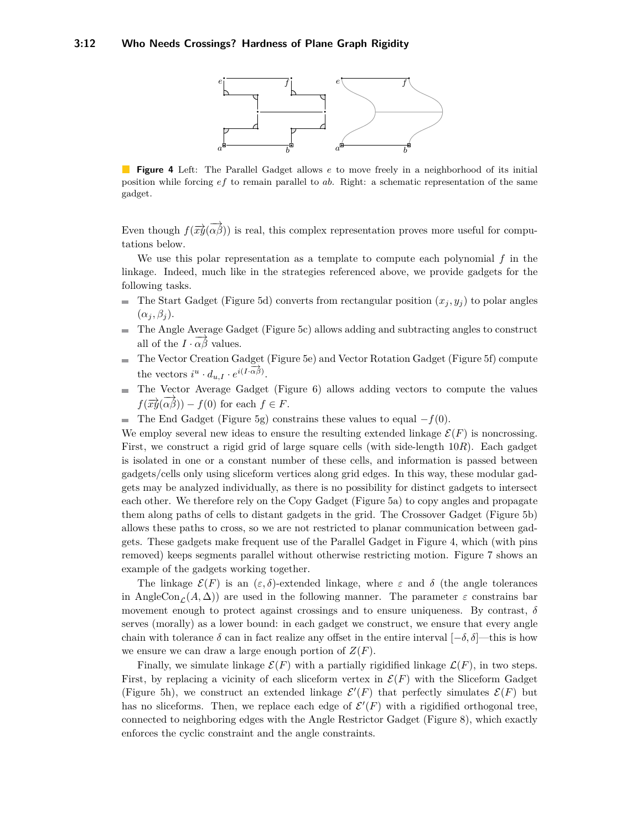<span id="page-11-0"></span>

**Figure 4** Left: The Parallel Gadget allows *e* to move freely in a neighborhood of its initial position while forcing *ef* to remain parallel to *ab*. Right: a schematic representation of the same gadget.

Even though  $f(\overrightarrow{xy}(\overrightarrow{\alpha\beta}))$  is real, this complex representation proves more useful for computations below.

We use this polar representation as a template to compute each polynomial *f* in the linkage. Indeed, much like in the strategies referenced above, we provide gadgets for the following tasks.

- The Start Gadget (Figure [5d\)](#page-12-1) converts from rectangular position  $(x_j, y_j)$  to polar angles  $(\alpha_j, \beta_j).$
- The Angle Average Gadget (Figure [5c\)](#page-12-1) allows adding and subtracting angles to construct all of the  $I \cdot \overrightarrow{\alpha \beta}$  values.
- The Vector Creation Gadget (Figure [5e\)](#page-12-1) and Vector Rotation Gadget (Figure [5f\)](#page-12-1) compute the vectors  $i^u \cdot d_{u,I} \cdot e^{i(I \cdot \overrightarrow{\alpha \beta})}$ .
- The Vector Average Gadget (Figure [6\)](#page-13-1) allows adding vectors to compute the values  $f(\overrightarrow{xy}(\overrightarrow{\alpha\beta})) - f(0)$  for each  $f \in F$ .
- The End Gadget (Figure [5g\)](#page-12-1) constrains these values to equal  $-f(0)$ .  $\blacksquare$

We employ several new ideas to ensure the resulting extended linkage  $\mathcal{E}(F)$  is noncrossing. First, we construct a rigid grid of large square cells (with side-length 10*R*). Each gadget is isolated in one or a constant number of these cells, and information is passed between gadgets/cells only using sliceform vertices along grid edges. In this way, these modular gadgets may be analyzed individually, as there is no possibility for distinct gadgets to intersect each other. We therefore rely on the Copy Gadget (Figure [5a\)](#page-12-1) to copy angles and propagate them along paths of cells to distant gadgets in the grid. The Crossover Gadget (Figure [5b\)](#page-12-1) allows these paths to cross, so we are not restricted to planar communication between gadgets. These gadgets make frequent use of the Parallel Gadget in Figure [4,](#page-11-0) which (with pins removed) keeps segments parallel without otherwise restricting motion. Figure [7](#page-13-1) shows an example of the gadgets working together.

The linkage  $\mathcal{E}(F)$  is an  $(\varepsilon, \delta)$ -extended linkage, where  $\varepsilon$  and  $\delta$  (the angle tolerances in AngleCon<sub>c</sub>( $A, \Delta$ )) are used in the following manner. The parameter  $\varepsilon$  constrains bar movement enough to protect against crossings and to ensure uniqueness. By contrast, *δ* serves (morally) as a lower bound: in each gadget we construct, we ensure that every angle chain with tolerance  $\delta$  can in fact realize any offset in the entire interval  $[-\delta, \delta]$ —this is how we ensure we can draw a large enough portion of  $Z(F)$ .

Finally, we simulate linkage  $\mathcal{E}(F)$  with a partially rigidified linkage  $\mathcal{L}(F)$ , in two steps. First, by replacing a vicinity of each sliceform vertex in  $\mathcal{E}(F)$  with the Sliceform Gadget (Figure [5h\)](#page-12-1), we construct an extended linkage  $\mathcal{E}'(F)$  that perfectly simulates  $\mathcal{E}(F)$  but has no sliceforms. Then, we replace each edge of  $\mathcal{E}'(F)$  with a rigidified orthogonal tree, connected to neighboring edges with the Angle Restrictor Gadget (Figure [8\)](#page-13-2), which exactly enforces the cyclic constraint and the angle constraints.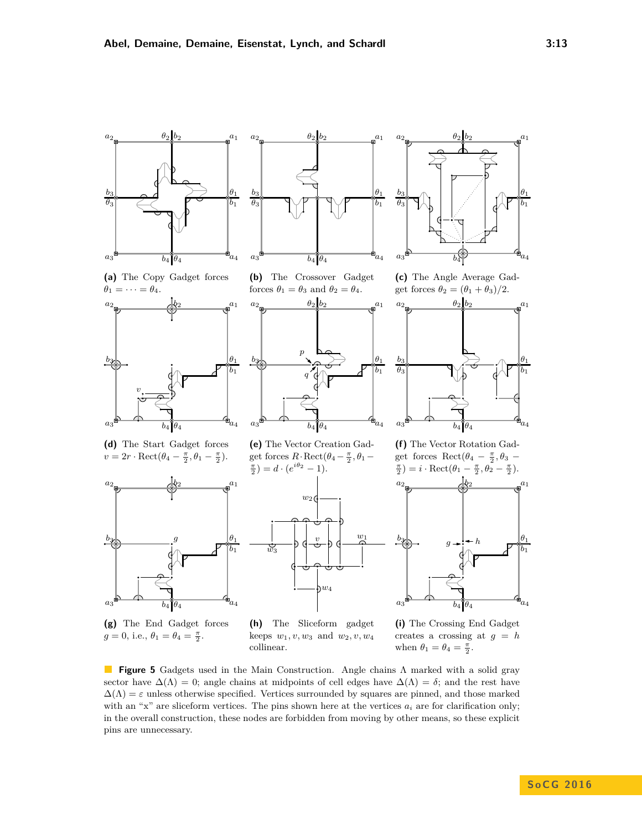<span id="page-12-1"></span><span id="page-12-0"></span>

**(g)** The End Gadget forces  $g = 0$ , i.e.,  $\theta_1 = \theta_4 = \frac{\pi}{2}$ .

**(h)** The Sliceform gadget keeps  $w_1, v, w_3$  and  $w_2, v, w_4$ collinear.

**(i)** The Crossing End Gadget creates a crossing at  $g = h$ when  $\theta_1 = \theta_4 = \frac{\pi}{2}$ .

**Figure 5** Gadgets used in the Main Construction. Angle chains Λ marked with a solid gray sector have  $\Delta(\Lambda) = 0$ ; angle chains at midpoints of cell edges have  $\Delta(\Lambda) = \delta$ ; and the rest have  $\Delta(\Lambda) = \varepsilon$  unless otherwise specified. Vertices surrounded by squares are pinned, and those marked with an "x" are sliceform vertices. The pins shown here at the vertices  $a_i$  are for clarification only; in the overall construction, these nodes are forbidden from moving by other means, so these explicit pins are unnecessary.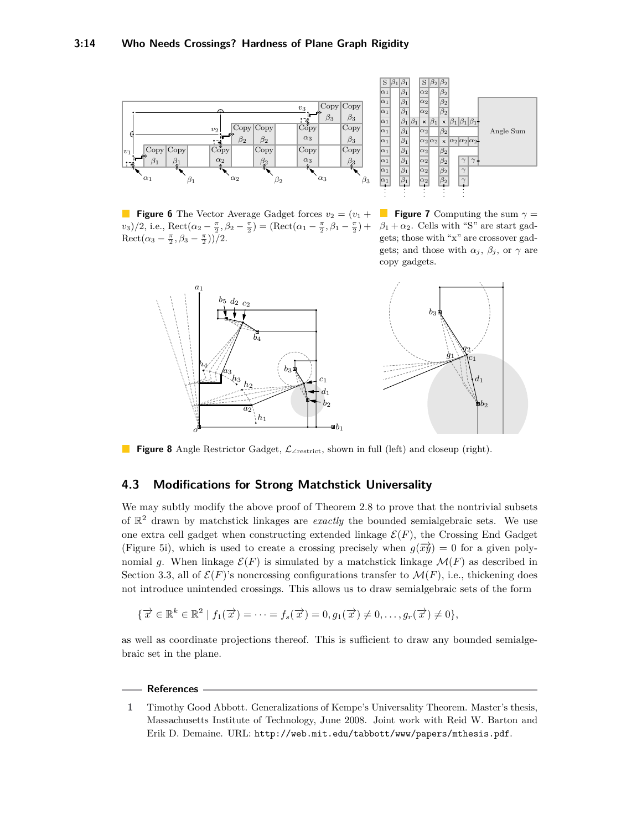<span id="page-13-1"></span>

**Figure 6** The Vector Average Gadget forces  $v_2 = (v_1 +$  $v_3$ )/2, i.e., Rect( $\alpha_2 - \frac{\pi}{2}, \beta_2 - \frac{\pi}{2}$ ) = (Rect( $\alpha_1 - \frac{\pi}{2}, \beta_1 - \frac{\pi}{2}$ ) +  $\text{Rect}(\alpha_3 - \frac{\pi}{2}, \beta_3 - \frac{\pi}{2}))$ /2.



**Figure 7** Computing the sum  $\gamma =$  $\beta_1 + \alpha_2$ . Cells with "S" are start gadgets; those with "x" are crossover gadgets; and those with  $\alpha_j$ ,  $\beta_j$ , or  $\gamma$  are copy gadgets.

<span id="page-13-2"></span>

**Figure 8** Angle Restrictor Gadget, L<sup>∠</sup>restrict, shown in full (left) and closeup (right).

# **4.3 Modifications for Strong Matchstick Universality**

We may subtly modify the above proof of Theorem [2.8](#page-0-0) to prove that the nontrivial subsets of  $\mathbb{R}^2$  drawn by matchstick linkages are *exactly* the bounded semialgebraic sets. We use one extra cell gadget when constructing extended linkage  $\mathcal{E}(F)$ , the Crossing End Gadget (Figure [5i\)](#page-12-1), which is used to create a crossing precisely when  $g(\vec{x} \vec{y}) = 0$  for a given polynomial q. When linkage  $\mathcal{E}(F)$  is simulated by a matchstick linkage  $\mathcal{M}(F)$  as described in Section [3.3,](#page-8-1) all of  $\mathcal{E}(F)$ 's noncrossing configurations transfer to  $\mathcal{M}(F)$ , i.e., thickening does not introduce unintended crossings. This allows us to draw semialgebraic sets of the form

$$
\{\overrightarrow{x} \in \mathbb{R}^k \in \mathbb{R}^2 \mid f_1(\overrightarrow{x}) = \cdots = f_s(\overrightarrow{x}) = 0, g_1(\overrightarrow{x}) \neq 0, \ldots, g_r(\overrightarrow{x}) \neq 0\},\
$$

as well as coordinate projections thereof. This is sufficient to draw any bounded semialgebraic set in the plane.

#### **References**

<span id="page-13-0"></span>**1** Timothy Good Abbott. Generalizations of Kempe's Universality Theorem. Master's thesis, Massachusetts Institute of Technology, June 2008. Joint work with Reid W. Barton and Erik D. Demaine. URL: <http://web.mit.edu/tabbott/www/papers/mthesis.pdf>.